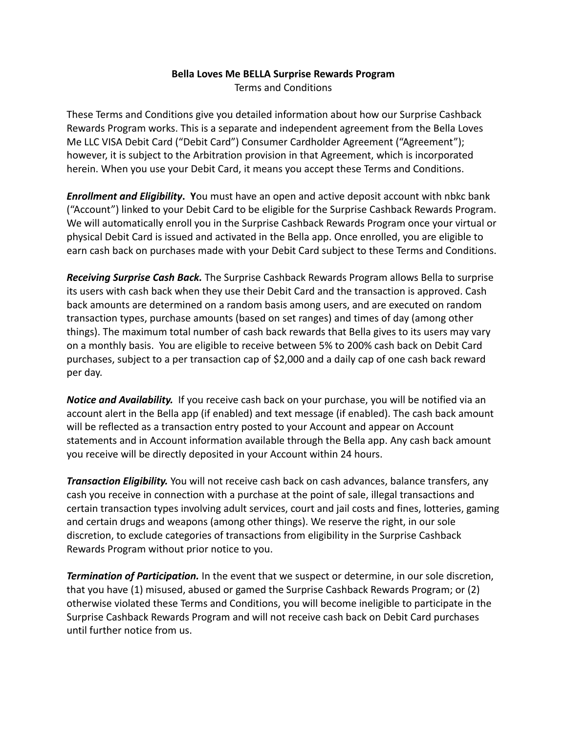## **Bella Loves Me BELLA Surprise Rewards Program** Terms and Conditions

These Terms and Conditions give you detailed information about how our Surprise Cashback Rewards Program works. This is a separate and independent agreement from the Bella Loves Me LLC VISA Debit Card ("Debit Card") Consumer Cardholder Agreement ("Agreement"); however, it is subject to the Arbitration provision in that Agreement, which is incorporated herein. When you use your Debit Card, it means you accept these Terms and Conditions.

*Enrollment and Eligibility***. Y**ou must have an open and active deposit account with nbkc bank ("Account") linked to your Debit Card to be eligible for the Surprise Cashback Rewards Program. We will automatically enroll you in the Surprise Cashback Rewards Program once your virtual or physical Debit Card is issued and activated in the Bella app. Once enrolled, you are eligible to earn cash back on purchases made with your Debit Card subject to these Terms and Conditions.

*Receiving Surprise Cash Back.* The Surprise Cashback Rewards Program allows Bella to surprise its users with cash back when they use their Debit Card and the transaction is approved. Cash back amounts are determined on a random basis among users, and are executed on random transaction types, purchase amounts (based on set ranges) and times of day (among other things). The maximum total number of cash back rewards that Bella gives to its users may vary on a monthly basis. You are eligible to receive between 5% to 200% cash back on Debit Card purchases, subject to a per transaction cap of \$2,000 and a daily cap of one cash back reward per day.

*Notice and Availability.* If you receive cash back on your purchase, you will be notified via an account alert in the Bella app (if enabled) and text message (if enabled). The cash back amount will be reflected as a transaction entry posted to your Account and appear on Account statements and in Account information available through the Bella app. Any cash back amount you receive will be directly deposited in your Account within 24 hours.

*Transaction Eligibility.* You will not receive cash back on cash advances, balance transfers, any cash you receive in connection with a purchase at the point of sale, illegal transactions and certain transaction types involving adult services, court and jail costs and fines, lotteries, gaming and certain drugs and weapons (among other things). We reserve the right, in our sole discretion, to exclude categories of transactions from eligibility in the Surprise Cashback Rewards Program without prior notice to you.

*Termination of Participation.* In the event that we suspect or determine, in our sole discretion, that you have (1) misused, abused or gamed the Surprise Cashback Rewards Program; or (2) otherwise violated these Terms and Conditions, you will become ineligible to participate in the Surprise Cashback Rewards Program and will not receive cash back on Debit Card purchases until further notice from us.